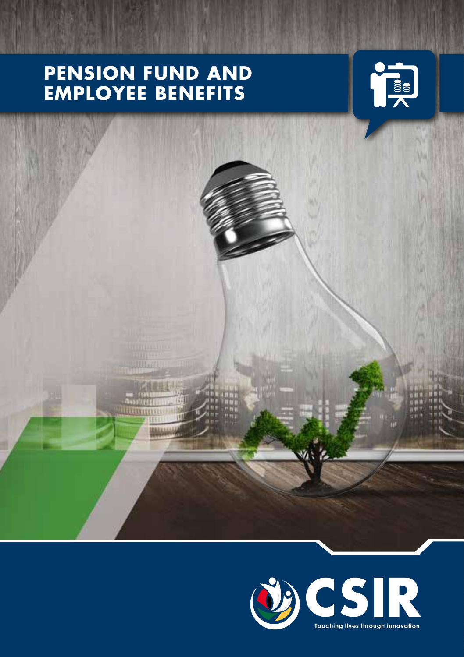# **PENSION FUND AND EMPLOYEE BENEFITS**





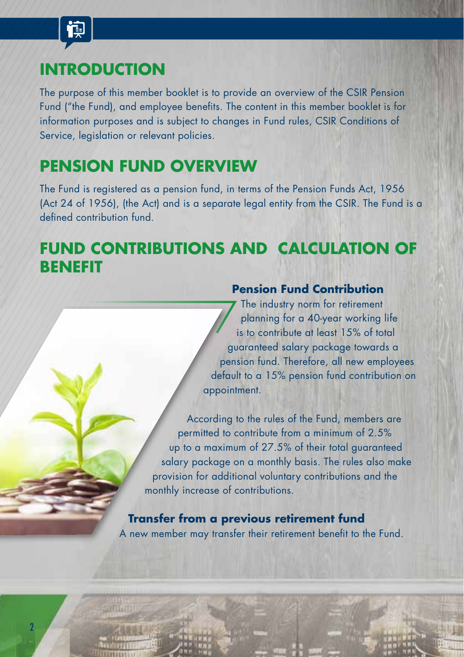

2

## **INTRODUCTION**

The purpose of this member booklet is to provide an overview of the CSIR Pension Fund ("the Fund), and employee benefits. The content in this member booklet is for information purposes and is subject to changes in Fund rules, CSIR Conditions of Service, legislation or relevant policies.

## **PENSION FUND OVERVIEW**

The Fund is registered as a pension fund, in terms of the Pension Funds Act, 1956 (Act 24 of 1956), (the Act) and is a separate legal entity from the CSIR. The Fund is a defined contribution fund.

## **FUND CONTRIBUTIONS AND CALCULATION OF BENEFIT**

### **Pension Fund Contribution**

The industry norm for retirement planning for a 40-year working life is to contribute at least 15% of total guaranteed salary package towards a pension fund. Therefore, all new employees default to a 15% pension fund contribution on appointment.

According to the rules of the Fund, members are permitted to contribute from a minimum of 2.5% up to a maximum of 27.5% of their total guaranteed salary package on a monthly basis. The rules also make provision for additional voluntary contributions and the monthly increase of contributions.

**Transfer from a previous retirement fund** A new member may transfer their retirement benefit to the Fund.